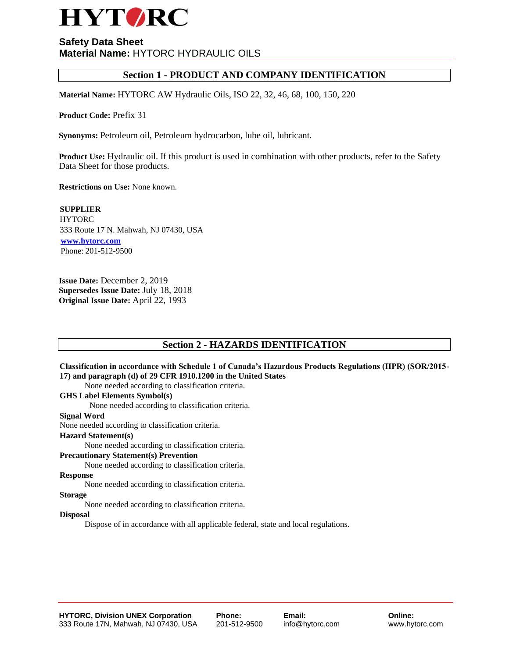

# **Section 1 - PRODUCT AND COMPANY IDENTIFICATION**

**Material Name:** HYTORC AW Hydraulic Oils, ISO 22, 32, 46, 68, 100, 150, 220

**Product Code:** Prefix 31

**Synonyms:** Petroleum oil, Petroleum hydrocarbon, lube oil, lubricant.

**Product Use:** Hydraulic oil. If this product is used in combination with other products, refer to the Safety Data Sheet for those products.

**Restrictions on Use:** None known.

**SUPPLIER HYTORC** 333 Route 17 N. Mahwah, NJ 07430, USA **www.hytorc.com** Phone: 201-512-9500

**Issue Date:** December 2, 2019 **Supersedes Issue Date:** July 18, 2018 **Original Issue Date:** April 22, 1993

# **Section 2 - HAZARDS IDENTIFICATION**

# **Classification in accordance with Schedule 1 of Canada's Hazardous Products Regulations (HPR) (SOR/2015- 17) and paragraph (d) of 29 CFR 1910.1200 in the United States**

None needed according to classification criteria.

# **GHS Label Elements Symbol(s)**

None needed according to classification criteria.

#### **Signal Word**

None needed according to classification criteria.

#### **Hazard Statement(s)**

None needed according to classification criteria.

#### **Precautionary Statement(s) Prevention**

None needed according to classification criteria.

# **Response**

None needed according to classification criteria.

#### **Storage**

None needed according to classification criteria.

# **Disposal**

Dispose of in accordance with all applicable federal, state and local regulations.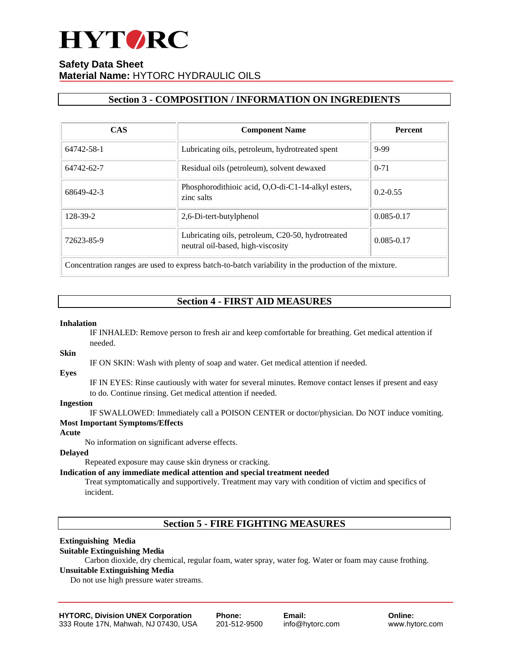

# **Section 3 - COMPOSITION / INFORMATION ON INGREDIENTS**

| <b>CAS</b> | <b>Component Name</b>                                                                                     | <b>Percent</b> |
|------------|-----------------------------------------------------------------------------------------------------------|----------------|
| 64742-58-1 | Lubricating oils, petroleum, hydrotreated spent                                                           | 9-99           |
| 64742-62-7 | Residual oils (petroleum), solvent dewaxed                                                                | $0 - 71$       |
| 68649-42-3 | Phosphorodithioic acid, O,O-di-C1-14-alkyl esters,<br>zinc salts                                          | $0.2 - 0.55$   |
| 128-39-2   | 2,6-Di-tert-butylphenol                                                                                   | $0.085 - 0.17$ |
| 72623-85-9 | Lubricating oils, petroleum, C20-50, hydrotreated<br>neutral oil-based, high-viscosity                    | $0.085 - 0.17$ |
|            | Concernation and are one would be accounted bability to the following the second develop of the actionary |                |

Concentration ranges are used to express batch-to-batch variability in the production of the mixture.

# **Section 4 - FIRST AID MEASURES**

## **Inhalation**

IF INHALED: Remove person to fresh air and keep comfortable for breathing. Get medical attention if needed.

## **Skin**

IF ON SKIN: Wash with plenty of soap and water. Get medical attention if needed.

#### **Eyes**

IF IN EYES: Rinse cautiously with water for several minutes. Remove contact lenses if present and easy to do. Continue rinsing. Get medical attention if needed.

# **Ingestion**

IF SWALLOWED: Immediately call a POISON CENTER or doctor/physician. Do NOT induce vomiting.

# **Most Important Symptoms/Effects**

**Acute**

No information on significant adverse effects.

# **Delayed**

Repeated exposure may cause skin dryness or cracking.

# **Indication of any immediate medical attention and special treatment needed**

Treat symptomatically and supportively. Treatment may vary with condition of victim and specifics of incident.

**Section 5 - FIRE FIGHTING MEASURES**

# **Extinguishing Media**

# **Suitable Extinguishing Media**

Carbon dioxide, dry chemical, regular foam, water spray, water fog. Water or foam may cause frothing.

# **Unsuitable Extinguishing Media**

Do not use high pressure water streams.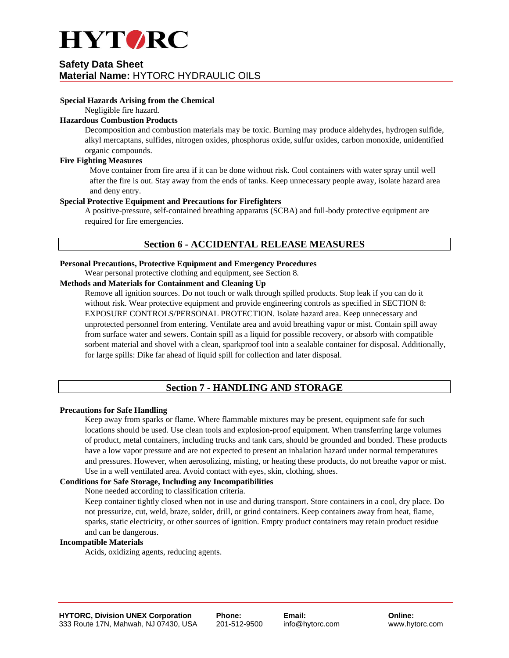

# **Special Hazards Arising from the Chemical**

Negligible fire hazard.

# **Hazardous Combustion Products**

Decomposition and combustion materials may be toxic. Burning may produce aldehydes, hydrogen sulfide, alkyl mercaptans, sulfides, nitrogen oxides, phosphorus oxide, sulfur oxides, carbon monoxide, unidentified organic compounds.

## **Fire Fighting Measures**

Move container from fire area if it can be done without risk. Cool containers with water spray until well after the fire is out. Stay away from the ends of tanks. Keep unnecessary people away, isolate hazard area and deny entry.

# **Special Protective Equipment and Precautions for Firefighters**

A positive-pressure, self-contained breathing apparatus (SCBA) and full-body protective equipment are required for fire emergencies.

# **Section 6 - ACCIDENTAL RELEASE MEASURES**

# **Personal Precautions, Protective Equipment and Emergency Procedures**

Wear personal protective clothing and equipment, see Section 8.

# **Methods and Materials for Containment and Cleaning Up**

Remove all ignition sources. Do not touch or walk through spilled products. Stop leak if you can do it without risk. Wear protective equipment and provide engineering controls as specified in SECTION 8: EXPOSURE CONTROLS/PERSONAL PROTECTION. Isolate hazard area. Keep unnecessary and unprotected personnel from entering. Ventilate area and avoid breathing vapor or mist. Contain spill away from surface water and sewers. Contain spill as a liquid for possible recovery, or absorb with compatible sorbent material and shovel with a clean, sparkproof tool into a sealable container for disposal. Additionally, for large spills: Dike far ahead of liquid spill for collection and later disposal.

# **Section 7 - HANDLING AND STORAGE**

# **Precautions for Safe Handling**

Keep away from sparks or flame. Where flammable mixtures may be present, equipment safe for such locations should be used. Use clean tools and explosion-proof equipment. When transferring large volumes of product, metal containers, including trucks and tank cars, should be grounded and bonded. These products have a low vapor pressure and are not expected to present an inhalation hazard under normal temperatures and pressures. However, when aerosolizing, misting, or heating these products, do not breathe vapor or mist. Use in a well ventilated area. Avoid contact with eyes, skin, clothing, shoes.

# **Conditions for Safe Storage, Including any Incompatibilities**

None needed according to classification criteria.

Keep container tightly closed when not in use and during transport. Store containers in a cool, dry place. Do not pressurize, cut, weld, braze, solder, drill, or grind containers. Keep containers away from heat, flame, sparks, static electricity, or other sources of ignition. Empty product containers may retain product residue and can be dangerous.

#### **Incompatible Materials**

Acids, oxidizing agents, reducing agents.

**Email:**  info@hytorc.com

**Online:** www.hytorc.com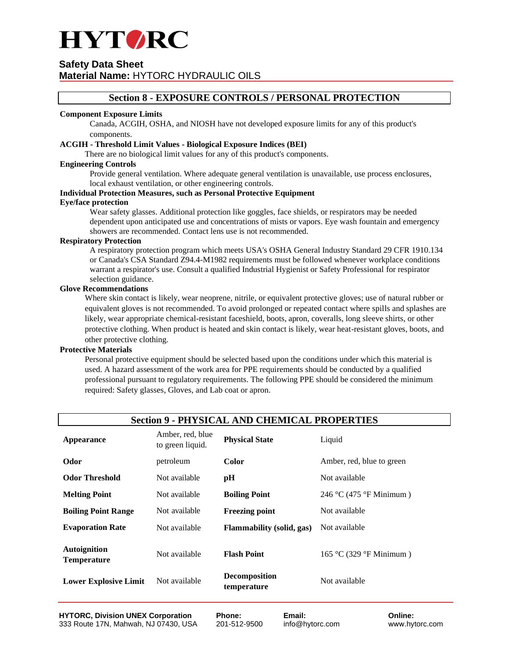

# **Section 8 - EXPOSURE CONTROLS / PERSONAL PROTECTION**

## **Component Exposure Limits**

Canada, ACGIH, OSHA, and NIOSH have not developed exposure limits for any of this product's components.

## **ACGIH - Threshold Limit Values - Biological Exposure Indices (BEI)**

There are no biological limit values for any of this product's components.

#### **Engineering Controls**

Provide general ventilation. Where adequate general ventilation is unavailable, use process enclosures, local exhaust ventilation, or other engineering controls.

# **Individual Protection Measures, such as Personal Protective Equipment**

#### **Eye/face protection**

Wear safety glasses. Additional protection like goggles, face shields, or respirators may be needed dependent upon anticipated use and concentrations of mists or vapors. Eye wash fountain and emergency showers are recommended. Contact lens use is not recommended.

# **Respiratory Protection**

A respiratory protection program which meets USA's OSHA General Industry Standard 29 CFR 1910.134 or Canada's CSA Standard Z94.4-M1982 requirements must be followed whenever workplace conditions warrant a respirator's use. Consult a qualified Industrial Hygienist or Safety Professional for respirator selection guidance.

# **Glove Recommendations**

Where skin contact is likely, wear neoprene, nitrile, or equivalent protective gloves; use of natural rubber or equivalent gloves is not recommended. To avoid prolonged or repeated contact where spills and splashes are likely, wear appropriate chemical-resistant faceshield, boots, apron, coveralls, long sleeve shirts, or other protective clothing. When product is heated and skin contact is likely, wear heat-resistant gloves, boots, and other protective clothing.

#### **Protective Materials**

Personal protective equipment should be selected based upon the conditions under which this material is used. A hazard assessment of the work area for PPE requirements should be conducted by a qualified professional pursuant to regulatory requirements. The following PPE should be considered the minimum required: Safety glasses, Gloves, and Lab coat or apron.

|                                                                           | <b>Section 9 - PHYSICAL AND CHEMICAL PROPERTIES</b> |                                                           |                                                    |  |  |  |  |  |  |  |  |  |
|---------------------------------------------------------------------------|-----------------------------------------------------|-----------------------------------------------------------|----------------------------------------------------|--|--|--|--|--|--|--|--|--|
| Appearance                                                                | Amber, red, blue<br>to green liquid.                | <b>Physical State</b>                                     | Liquid                                             |  |  |  |  |  |  |  |  |  |
| Odor                                                                      | petroleum                                           | <b>Color</b>                                              | Amber, red, blue to green                          |  |  |  |  |  |  |  |  |  |
| <b>Odor Threshold</b>                                                     | Not available                                       | pH                                                        | Not available                                      |  |  |  |  |  |  |  |  |  |
| <b>Melting Point</b>                                                      | Not available                                       | <b>Boiling Point</b>                                      | 246 °C (475 °F Minimum)                            |  |  |  |  |  |  |  |  |  |
| <b>Boiling Point Range</b>                                                | Not available                                       | <b>Freezing point</b>                                     | Not available                                      |  |  |  |  |  |  |  |  |  |
| <b>Evaporation Rate</b>                                                   | Not available                                       | <b>Flammability (solid, gas)</b>                          | Not available                                      |  |  |  |  |  |  |  |  |  |
| <b>Autoignition</b><br><b>Temperature</b><br><b>Lower Explosive Limit</b> | Not available<br>Not available                      | <b>Flash Point</b><br><b>Decomposition</b><br>temperature | $165 \text{ °C}$ (329 °F Minimum)<br>Not available |  |  |  |  |  |  |  |  |  |
|                                                                           |                                                     |                                                           |                                                    |  |  |  |  |  |  |  |  |  |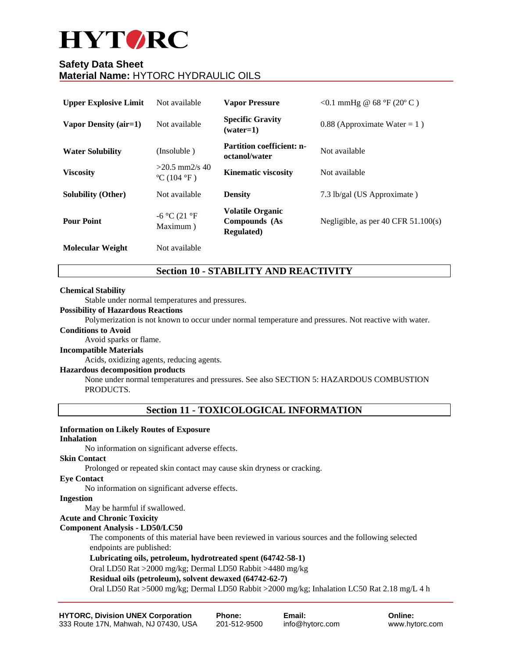# **HYTORC**

# **Safety Data Sheet Material Name:** HYTORC HYDRAULIC OILS

| <b>Upper Explosive Limit</b> | Not available                                       | <b>Vapor Pressure</b>                                          | <0.1 mmHg @ $68 °F (20 °C)$             |
|------------------------------|-----------------------------------------------------|----------------------------------------------------------------|-----------------------------------------|
| Vapor Density (air=1)        | Not available                                       | <b>Specific Gravity</b><br>$(water=1)$                         | $0.88$ (Approximate Water = 1)          |
| <b>Water Solubility</b>      | (Insoluble)                                         | <b>Partition coefficient: n-</b><br>octanol/water              | Not available                           |
| <b>Viscosity</b>             | $>20.5$ mm2/s 40<br>$^{\circ}$ C (104 $^{\circ}$ F) | <b>Kinematic viscosity</b>                                     | Not available                           |
| <b>Solubility (Other)</b>    | Not available                                       | <b>Density</b>                                                 | 7.3 lb/gal (US Approximate)             |
| <b>Pour Point</b>            | -6 °C (21 °F<br>Maximum)                            | <b>Volatile Organic</b><br>Compounds (As<br><b>Regulated</b> ) | Negligible, as per $40$ CFR $51.100(s)$ |
| <b>Molecular Weight</b>      | Not available                                       |                                                                |                                         |

# **Section 10 - STABILITY AND REACTIVITY**

# **Chemical Stability**

Stable under normal temperatures and pressures.

# **Possibility of Hazardous Reactions**

Polymerization is not known to occur under normal temperature and pressures. Not reactive with water.

# **Conditions to Avoid**

Avoid sparks or flame.

#### **Incompatible Materials**

Acids, oxidizing agents, reducing agents.

# **Hazardous decomposition products**

None under normal temperatures and pressures. See also SECTION 5: HAZARDOUS COMBUSTION PRODUCTS.

# **Section 11 - TOXICOLOGICAL INFORMATION**

# **Information on Likely Routes of Exposure**

# **Inhalation**

No information on significant adverse effects.

#### **Skin Contact**

Prolonged or repeated skin contact may cause skin dryness or cracking.

# **Eye Contact**

No information on significant adverse effects.

# **Ingestion**

May be harmful if swallowed.

# **Acute and Chronic Toxicity**

# **Component Analysis - LD50/LC50**

The components of this material have been reviewed in various sources and the following selected endpoints are published:

# **Lubricating oils, petroleum, hydrotreated spent (64742-58-1)**

Oral LD50 Rat >2000 mg/kg; Dermal LD50 Rabbit >4480 mg/kg

# **Residual oils (petroleum), solvent dewaxed (64742-62-7)**

Oral LD50 Rat >5000 mg/kg; Dermal LD50 Rabbit >2000 mg/kg; Inhalation LC50 Rat 2.18 mg/L 4 h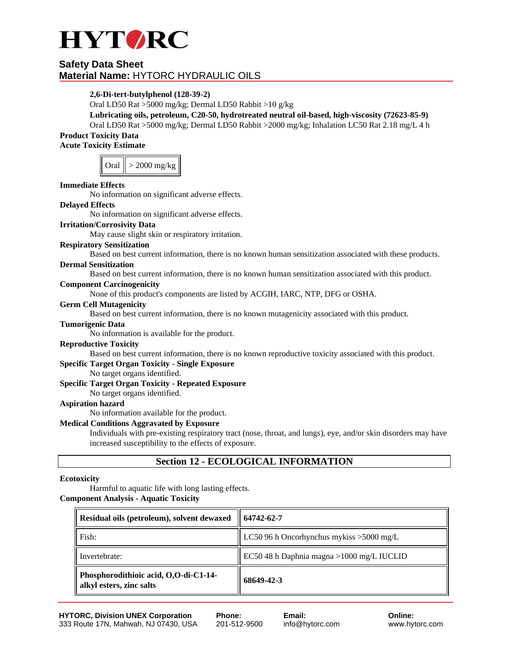

# **2,6-Di-tert-butylphenol (128-39-2)**

Oral LD50 Rat >5000 mg/kg; Dermal LD50 Rabbit >10 g/kg

# **Lubricating oils, petroleum, C20-50, hydrotreated neutral oil-based, high-viscosity (72623-85-9)**

Oral LD50 Rat >5000 mg/kg; Dermal LD50 Rabbit >2000 mg/kg; Inhalation LC50 Rat 2.18 mg/L 4 h **Product Toxicity Data** 

**Acute Toxicity Estimate**

| Oral | $>$ 2000 mg/kg |
|------|----------------|
|------|----------------|

# **Immediate Effects**

No information on significant adverse effects.

## **Delayed Effects**

No information on significant adverse effects.

# **Irritation/Corrosivity Data**

May cause slight skin or respiratory irritation.

# **Respiratory Sensitization**

Based on best current information, there is no known human sensitization associated with these products.

# **Dermal Sensitization**

Based on best current information, there is no known human sensitization associated with this product.

## **Component Carcinogenicity**

None of this product's components are listed by ACGIH, IARC, NTP, DFG or OSHA.

#### **Germ Cell Mutagenicity**

Based on best current information, there is no known mutagenicity associated with this product.

# **Tumorigenic Data**

No information is available for the product.

#### **Reproductive Toxicity**

Based on best current information, there is no known reproductive toxicity associated with this product.

## **Specific Target Organ Toxicity - Single Exposure**

No target organs identified.

## **Specific Target Organ Toxicity - Repeated Exposure**

No target organs identified.

#### **Aspiration hazard**

No information available for the product.

# **Medical Conditions Aggravated by Exposure**

Individuals with pre-existing respiratory tract (nose, throat, and lungs), eye, and/or skin disorders may have increased susceptibility to the effects of exposure.

# **Section 12 - ECOLOGICAL INFORMATION**

#### **Ecotoxicity**

Harmful to aquatic life with long lasting effects. **Component Analysis - Aquatic Toxicity**

| Residual oils (petroleum), solvent dewaxed                        | 64742-62-7                                 |  |  |  |  |
|-------------------------------------------------------------------|--------------------------------------------|--|--|--|--|
| Fish:                                                             | LC50 96 h Oncorhynchus mykiss $>5000$ mg/L |  |  |  |  |
| Invertebrate:                                                     | EC50 48 h Daphnia magna > 1000 mg/L IUCLID |  |  |  |  |
| Phosphorodithioic acid, O,O-di-C1-14-<br>alkyl esters, zinc salts | 68649-42-3                                 |  |  |  |  |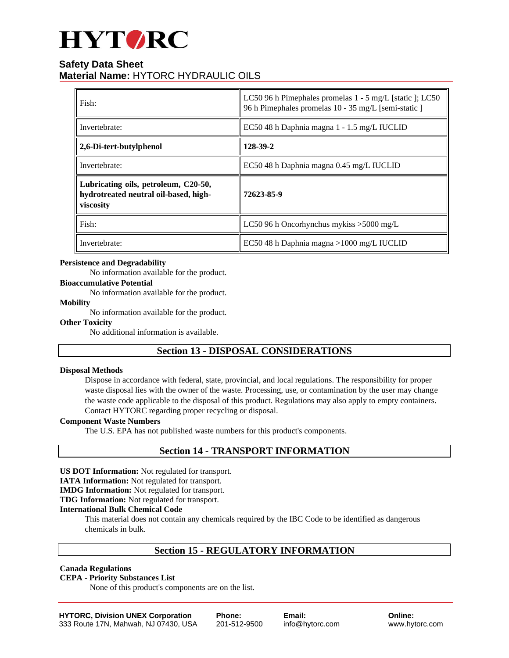# **HYTORC**

# **Safety Data Sheet Material Name:** HYTORC HYDRAULIC OILS

| Fish:                                                                                      | LC50 96 h Pimephales promelas $1 - 5$ mg/L [static ]; LC50<br>96 h Pimephales promelas 10 - 35 mg/L [semi-static ] |  |  |  |
|--------------------------------------------------------------------------------------------|--------------------------------------------------------------------------------------------------------------------|--|--|--|
| Invertebrate:                                                                              | EC50 48 h Daphnia magna 1 - 1.5 mg/L IUCLID                                                                        |  |  |  |
| 2,6-Di-tert-butylphenol                                                                    | 128-39-2                                                                                                           |  |  |  |
| Invertebrate:                                                                              | EC50 48 h Daphnia magna 0.45 mg/L IUCLID                                                                           |  |  |  |
| Lubricating oils, petroleum, C20-50,<br>hydrotreated neutral oil-based, high-<br>viscosity | 72623-85-9                                                                                                         |  |  |  |
| Fish:                                                                                      | LC50 96 h Oncorhynchus mykiss $>5000$ mg/L                                                                         |  |  |  |
| Invertebrate:                                                                              | EC50 48 h Daphnia magna >1000 mg/L IUCLID                                                                          |  |  |  |

# **Persistence and Degradability**

No information available for the product.

# **Bioaccumulative Potential**

No information available for the product.

#### **Mobility**

No information available for the product.

#### **Other Toxicity**

No additional information is available.

# **Section 13 - DISPOSAL CONSIDERATIONS**

#### **Disposal Methods**

Dispose in accordance with federal, state, provincial, and local regulations. The responsibility for proper waste disposal lies with the owner of the waste. Processing, use, or contamination by the user may change the waste code applicable to the disposal of this product. Regulations may also apply to empty containers. Contact HYTORC regarding proper recycling or disposal.

#### **Component Waste Numbers**

The U.S. EPA has not published waste numbers for this product's components.

# **Section 14 - TRANSPORT INFORMATION**

**US DOT Information:** Not regulated for transport.

**IATA Information:** Not regulated for transport.

**IMDG Information:** Not regulated for transport.

**TDG Information:** Not regulated for transport.

#### **International Bulk Chemical Code**

This material does not contain any chemicals required by the IBC Code to be identified as dangerous chemicals in bulk.

# **Section 15 - REGULATORY INFORMATION**

# **Canada Regulations**

## **CEPA - Priority Substances List**

None of this product's components are on the list.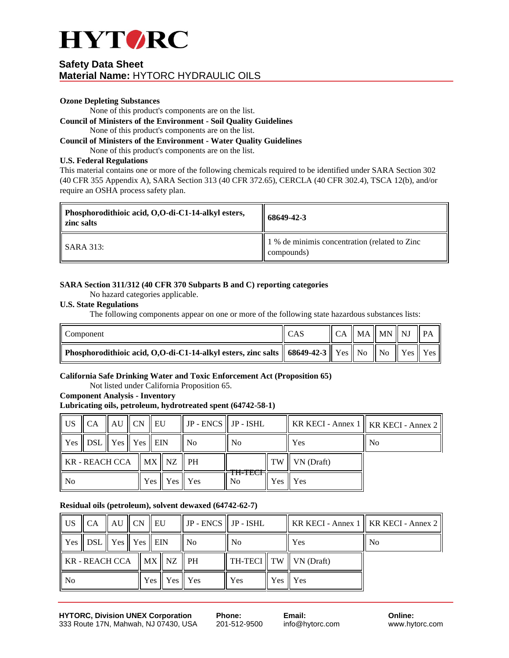

## **Ozone Depleting Substances**

None of this product's components are on the list.

#### **Council of Ministers of the Environment - Soil Quality Guidelines** None of this product's components are on the list.

# **Council of Ministers of the Environment - Water Quality Guidelines**

None of this product's components are on the list.

# **U.S. Federal Regulations**

This material contains one or more of the following chemicals required to be identified under SARA Section 302 (40 CFR 355 Appendix A), SARA Section 313 (40 CFR 372.65), CERCLA (40 CFR 302.4), TSCA 12(b), and/or require an OSHA process safety plan.

| Phosphorodithioic acid, O,O-di-C1-14-alkyl esters,<br><b>zinc</b> salts | 68649-42-3                                                  |  |  |
|-------------------------------------------------------------------------|-------------------------------------------------------------|--|--|
| ll SARA 313:                                                            | 1 % de minimis concentration (related to Zinc<br>compounds) |  |  |

# **SARA Section 311/312 (40 CFR 370 Subparts B and C) reporting categories**

No hazard categories applicable.

# **U.S. State Regulations**

The following components appear on one or more of the following state hazardous substances lists:

| $\parallel$ Component                                                                                                                                                                      |  | $\parallel$ CA $\parallel$ MA $\parallel$ MN $\parallel$ NJ |  | $\mathsf{PA}$ |
|--------------------------------------------------------------------------------------------------------------------------------------------------------------------------------------------|--|-------------------------------------------------------------|--|---------------|
| $\parallel$ Phosphorodithioic acid, O,O-di-C1-14-alkyl esters, zinc salts $\parallel$ 68649-42-3 $\parallel$ Yes $\parallel$ No $\parallel$ No $\parallel$ Yes $\parallel$ Yes $\parallel$ |  |                                                             |  |               |

# **California Safe Drinking Water and Toxic Enforcement Act (Proposition 65)**

Not listed under California Proposition 65.

# **Component Analysis - Inventory**

# **Lubricating oils, petroleum, hydrotreated spent (64742-58-1)**

| l US                                                                    | $\parallel$ CA $\parallel$ AU $\parallel$ CN $\parallel$ EU |  |                   |  | $\parallel$ JP - ENCS $\parallel$ JP - ISHL |                |                        |     | KR KECI - Annex 1   KR KECI - Annex 2 |
|-------------------------------------------------------------------------|-------------------------------------------------------------|--|-------------------|--|---------------------------------------------|----------------|------------------------|-----|---------------------------------------|
|                                                                         | Yes    DSL    Yes    Yes    EIN                             |  |                   |  | N <sub>0</sub>                              | N <sub>0</sub> |                        | Yes | N <sub>0</sub>                        |
| $\parallel$ KR - REACH CCA $\parallel$ MX $\parallel$ NZ $\parallel$ PH |                                                             |  |                   |  | <del>.</del>                                | TW             | $\parallel$ VN (Draft) |     |                                       |
| l No                                                                    |                                                             |  | Yes    Yes    Yes |  | m-nci<br>No.                                |                | Yes I Yes              |     |                                       |

# **Residual oils (petroleum), solvent dewaxed (64742-62-7)**

| $\parallel$ US                                                          | $\parallel$ CA $\parallel$ AU $\parallel$ CN $\parallel$ EU                     |  |                   |  | $\parallel$ JP - ENCS $\parallel$ JP - ISHL |                |                                   |     |                |  | KR KECI - Annex 1    KR KECI - Annex 2 |
|-------------------------------------------------------------------------|---------------------------------------------------------------------------------|--|-------------------|--|---------------------------------------------|----------------|-----------------------------------|-----|----------------|--|----------------------------------------|
|                                                                         | $\parallel$ Yes $\parallel$ DSL $\parallel$ Yes $\parallel$ Yes $\parallel$ EIN |  |                   |  | No.                                         | N <sub>0</sub> |                                   | Yes | N <sub>0</sub> |  |                                        |
| $\parallel$ KR - REACH CCA $\parallel$ MX $\parallel$ NZ $\parallel$ PH |                                                                                 |  |                   |  |                                             |                | $\ TH\text{-}TECI\ TW\ VN(Draft)$ |     |                |  |                                        |
| $\parallel$ No                                                          |                                                                                 |  | Yes    Yes    Yes |  | Yes                                         |                | Yes II Yes                        |     |                |  |                                        |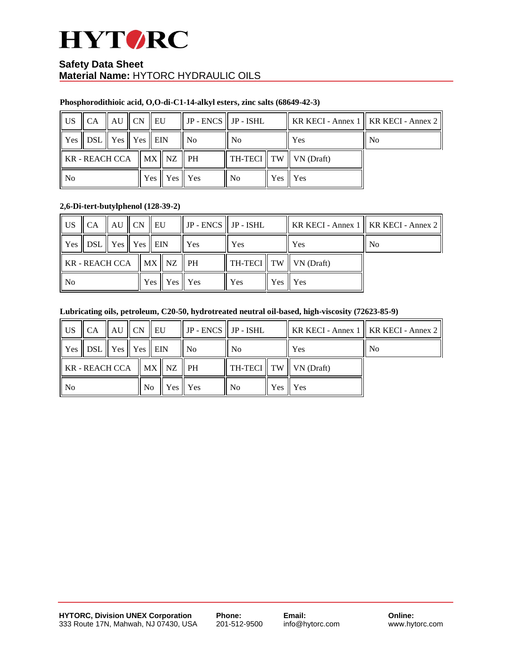

# **Phosphorodithioic acid, O,O-di-C1-14-alkyl esters, zinc salts (68649-42-3)**

| l US                                                                    | $\parallel$ CA $\parallel$ AU $\parallel$ CN $\parallel$ EU |  |                                     |  | $\parallel$ JP - ENCS $\parallel$ JP - ISHL |      |                                      |     |    |  | KR KECI - Annex 1    KR KECI - Annex 2 |
|-------------------------------------------------------------------------|-------------------------------------------------------------|--|-------------------------------------|--|---------------------------------------------|------|--------------------------------------|-----|----|--|----------------------------------------|
|                                                                         | Yes    DSL    Yes    Yes    EIN                             |  |                                     |  | N <sub>0</sub>                              | ' No |                                      | Yes | No |  |                                        |
| $\parallel$ KR - REACH CCA $\parallel$ MX $\parallel$ NZ $\parallel$ PH |                                                             |  |                                     |  |                                             |      | $\ $ TH-TECI $\ $ TW $\ $ VN (Draft) |     |    |  |                                        |
| $\overline{\phantom{a}}$ No                                             |                                                             |  | Yes $\parallel$ Yes $\parallel$ Yes |  | N <sub>0</sub>                              |      | Yes II Yes                           |     |    |  |                                        |

# **2,6-Di-tert-butylphenol (128-39-2)**

| $\parallel$ US                              | $\parallel$ CA $\parallel$ AU $\parallel$ CN $\parallel$ EU                     |  |                                     |  | $\parallel$ JP - ENCS $\parallel$ JP - ISHL |     |                             |     | KR KECI - Annex 1   KR KECI - Annex 2 |
|---------------------------------------------|---------------------------------------------------------------------------------|--|-------------------------------------|--|---------------------------------------------|-----|-----------------------------|-----|---------------------------------------|
|                                             | $\parallel$ Yes $\parallel$ DSL $\parallel$ Yes $\parallel$ Yes $\parallel$ EIN |  |                                     |  | Yes                                         | Yes |                             | Yes | N <sub>0</sub>                        |
| $\ $ KR - REACH CCA $\ $ MX $\ $ NZ $\ $ PH |                                                                                 |  |                                     |  |                                             |     | TH-TECI    TW    VN (Draft) |     |                                       |
| $\parallel$ No                              |                                                                                 |  | Yes $\parallel$ Yes $\parallel$ Yes |  | Yes                                         |     | Yes II Yes                  |     |                                       |

# **Lubricating oils, petroleum, C20-50, hydrotreated neutral oil-based, high-viscosity (72623-85-9)**

| $\parallel$ US                                                          | $\parallel$ CA $\parallel$ AU $\parallel$ CN $\parallel$ EU |  |  |     | $\parallel$ JP - ENCS $\parallel$ JP - ISHL |                |  |                                   | KR KECI - Annex 1    KR KECI - Annex 2 |
|-------------------------------------------------------------------------|-------------------------------------------------------------|--|--|-----|---------------------------------------------|----------------|--|-----------------------------------|----------------------------------------|
|                                                                         | Yes    DSL    Yes    Yes    EIN                             |  |  |     | N <sub>0</sub>                              | N <sub>0</sub> |  | Yes                               | N <sub>0</sub>                         |
| $\parallel$ KR - REACH CCA $\parallel$ MX $\parallel$ NZ $\parallel$ PH |                                                             |  |  |     |                                             |                |  | $\ TH\text{-}TECI\ TW\ VN(Draft)$ |                                        |
| $\parallel$ No                                                          |                                                             |  |  | No. | Yes Yes                                     | N <sub>0</sub> |  | Yes I Yes                         |                                        |